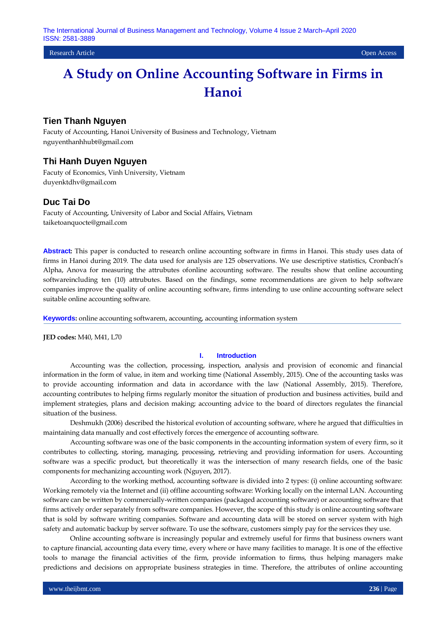**Research Article** Open Access **Contract Contract Contract Contract Contract Contract Contract Contract Contract Contract Contract Contract Contract Contract Contract Contract Contract Contract Contract Contract Contract C** 

# **A Study on Online Accounting Software in Firms in Hanoi**

# **Tien Thanh Nguyen**

Facuty of Accounting, Hanoi University of Business and Technology, Vietnam nguyenthanhhubt@gmail.com

# **Thi Hanh Duyen Nguyen**

Facuty of Economics, Vinh University, Vietnam duyenktdhv@gmail.com

# **Duc Tai Do**

Facuty of Accounting, University of Labor and Social Affairs, Vietnam taiketoanquocte@gmail.com

**Abstract:** This paper is conducted to research online accounting software in firms in Hanoi. This study uses data of firms in Hanoi during 2019. The data used for analysis are 125 observations. We use descriptive statistics, Cronbach's Alpha, Anova for measuring the attrubutes ofonline accounting software. The results show that online accounting softwareincluding ten (10) attrubutes. Based on the findings, some recommendations are given to help software companies improve the quality of online accounting software, firms intending to use online accounting software select suitable online accounting software.

**Keywords:** online accounting softwarem, accounting, accounting information system

**JED codes:** M40, M41, L70

#### **I. Introduction**

Accounting was the collection, processing, inspection, analysis and provision of economic and financial information in the form of value, in item and working time (National Assembly, 2015). One of the accounting tasks was to provide accounting information and data in accordance with the law (National Assembly, 2015). Therefore, accounting contributes to helping firms regularly monitor the situation of production and business activities, build and implement strategies, plans and decision making; accounting advice to the board of directors regulates the financial situation of the business.

Deshmukh (2006) described the historical evolution of accounting software, where he argued that difficulties in maintaining data manually and cost effectively forces the emergence of accounting software.

Accounting software was one of the basic components in the accounting information system of every firm, so it contributes to collecting, storing, managing, processing, retrieving and providing information for users. Accounting software was a specific product, but theoretically it was the intersection of many research fields, one of the basic components for mechanizing accounting work (Nguyen, 2017).

According to the working method, accounting software is divided into 2 types: (i) online accounting software: Working remotely via the Internet and (ii) offline accounting software: Working locally on the internal LAN. Accounting software can be written by commercially-written companies (packaged accounting software) or accounting software that firms actively order separately from software companies. However, the scope of this study is online accounting software that is sold by software writing companies. Software and accounting data will be stored on server system with high safety and automatic backup by server software. To use the software, customers simply pay for the services they use.

Online accounting software is increasingly popular and extremely useful for firms that business owners want to capture financial, accounting data every time, every where or have many facilities to manage. It is one of the effective tools to manage the financial activities of the firm, provide information to firms, thus helping managers make predictions and decisions on appropriate business strategies in time. Therefore, the attributes of online accounting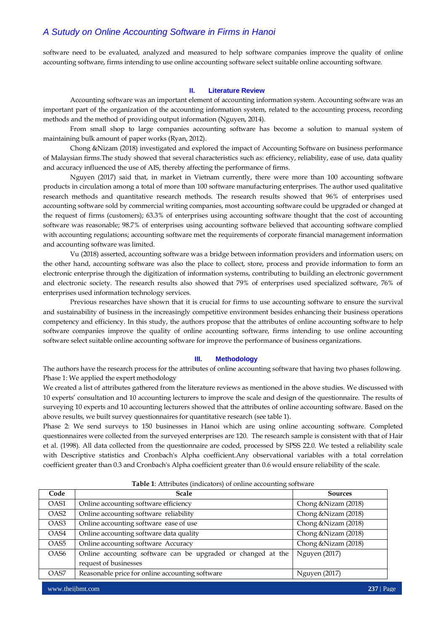software need to be evaluated, analyzed and measured to help software companies improve the quality of online accounting software, firms intending to use online accounting software select suitable online accounting software.

#### **II. Literature Review**

Accounting software was an important element of accounting information system. Accounting software was an important part of the organization of the accounting information system, related to the accounting process, recording methods and the method of providing output information (Nguyen, 2014).

From small shop to large companies accounting software has become a solution to manual system of maintaining bulk amount of paper works (Ryan, 2012).

Chong &Nizam (2018) investigated and explored the impact of Accounting Software on business performance of Malaysian firms.The study showed that several characteristics such as: efficiency, reliability, ease of use, data quality and accuracy influenced the use of AIS, thereby affecting the performance of firms.

Nguyen (2017) said that, in market in Vietnam currently, there were more than 100 accounting software products in circulation among a total of more than 100 software manufacturing enterprises. The author used qualitative research methods and quantitative research methods. The research results showed that 96% of enterprises used accounting software sold by commercial writing companies, most accounting software could be upgraded or changed at the request of firms (customers); 63.3% of enterprises using accounting software thought that the cost of accounting software was reasonable; 98.7% of enterprises using accounting software believed that accounting software complied with accounting regulations; accounting software met the requirements of corporate financial management information and accounting software was limited.

Vu (2018) asserted, accounting software was a bridge between information providers and information users; on the other hand, accounting software was also the place to collect, store, process and provide information to form an electronic enterprise through the digitization of information systems, contributing to building an electronic government and electronic society. The research results also showed that 79% of enterprises used specialized software, 76% of enterprises used information technology services.

Previous researches have shown that it is crucial for firms to use accounting software to ensure the survival and sustainability of business in the increasingly competitive environment besides enhancing their business operations competency and efficiency. In this study, the authors propose that the attributes of online accounting software to help software companies improve the quality of online accounting software, firms intending to use online accounting software select suitable online accounting software for improve the performance of business organizations.

#### **III. Methodology**

The authors have the research process for the attributes of online accounting software that having two phases following. Phase 1: We applied the expert methodology

We created a list of attributes gathered from the literature reviews as mentioned in the above studies. We discussed with 10 experts' consultation and 10 accounting lecturers to improve the scale and design of the questionnaire. The results of surveying 10 experts and 10 accounting lecturers showed that the attributes of online accounting software. Based on the above results, we built survey questionnaires for quantitative research (see table 1).

Phase 2: We send surveys to 150 businesses in Hanoi which are using online accounting software. Completed questionnaires were collected from the surveyed enterprises are 120. The research sample is consistent with that of Hair et al. (1998). All data collected from the questionnaire are coded, processed by SPSS 22.0. We tested a reliability scale with Descriptive statistics and Cronbach's Alpha coefficient.Any observational variables with a total correlation coefficient greater than 0.3 and Cronbach's Alpha coefficient greater than 0.6 would ensure reliability of the scale.

| Code             | <b>Scale</b>                                                                          | <b>Sources</b>       |
|------------------|---------------------------------------------------------------------------------------|----------------------|
| OAS1             | Online accounting software efficiency                                                 | Chong & Nizam (2018) |
| OAS <sub>2</sub> | Online accounting software reliability                                                | Chong & Nizam (2018) |
| OAS3             | Online accounting software ease of use                                                | Chong & Nizam (2018) |
| OAS4             | Online accounting software data quality                                               | Chong & Nizam (2018) |
| OAS <sub>5</sub> | Online accounting software Accuracy                                                   | Chong & Nizam (2018) |
| OAS <sub>6</sub> | Online accounting software can be upgraded or changed at the<br>request of businesses | Nguyen (2017)        |
| OAS7             | Reasonable price for online accounting software                                       | <b>Nguyen</b> (2017) |

**Table 1**: Attributes (indicators) of online accounting software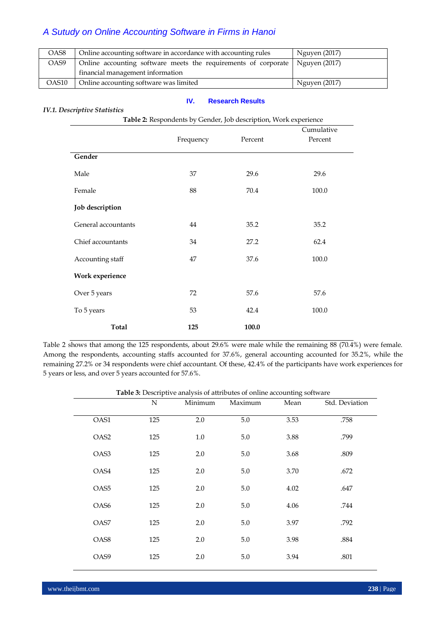| OAS8              | Online accounting software in accordance with accounting rules               | Nguyen (2017) |
|-------------------|------------------------------------------------------------------------------|---------------|
| OAS9              | Online accounting software meets the requirements of corporate Nguyen (2017) |               |
|                   | financial management information                                             |               |
| OAS <sub>10</sub> | Online accounting software was limited                                       | Nguyen (2017) |

#### **IV. Research Results**

#### *IV.1. Descriptive Statistics*

|                     |           | Cumulative |         |
|---------------------|-----------|------------|---------|
|                     | Frequency | Percent    | Percent |
| Gender              |           |            |         |
| Male                | 37        | 29.6       | 29.6    |
| Female              | 88        | 70.4       | 100.0   |
| Job description     |           |            |         |
| General accountants | 44        | 35.2       | 35.2    |
| Chief accountants   | 34        | 27.2       | 62.4    |
| Accounting staff    | 47        | 37.6       | 100.0   |
| Work experience     |           |            |         |
| Over 5 years        | 72        | 57.6       | 57.6    |
| To 5 years          | 53        | 42.4       | 100.0   |
| <b>Total</b>        | 125       | 100.0      |         |

Table 2 shows that among the 125 respondents, about 29.6% were male while the remaining 88 (70.4%) were female. Among the respondents, accounting staffs accounted for 37.6%, general accounting accounted for 35.2%, while the remaining 27.2% or 34 respondents were chief accountant. Of these, 42.4% of the participants have work experiences for 5 years or less, and over 5 years accounted for 57.6%.

**Table 3:** Descriptive analysis of attributes of online accounting software

|                  | $\mathbf N$ | Minimum | Maximum | Mean | Std. Deviation |
|------------------|-------------|---------|---------|------|----------------|
| OAS1             | 125         | 2.0     | 5.0     | 3.53 | .758           |
| OAS <sub>2</sub> | 125         | $1.0\,$ | $5.0\,$ | 3.88 | .799           |
| OAS3             | 125         | 2.0     | $5.0\,$ | 3.68 | .809           |
| OAS4             | 125         | 2.0     | 5.0     | 3.70 | .672           |
| OAS5             | 125         | 2.0     | $5.0\,$ | 4.02 | .647           |
| OAS6             | 125         | 2.0     | $5.0\,$ | 4.06 | .744           |
| OAS7             | 125         | 2.0     | $5.0\,$ | 3.97 | .792           |
| OAS8             | 125         | 2.0     | 5.0     | 3.98 | .884           |
| OAS9             | 125         | 2.0     | 5.0     | 3.94 | .801           |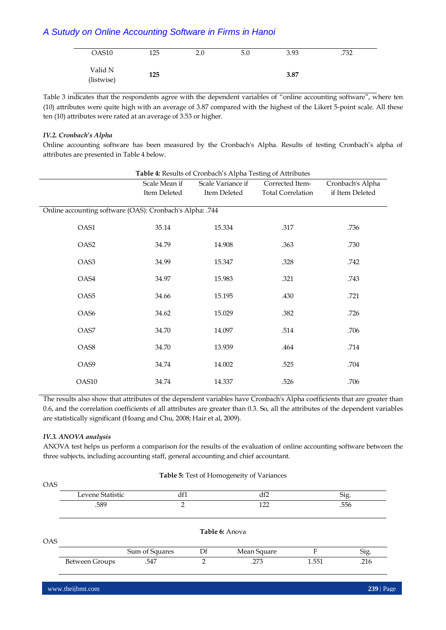| OAS10      | 125 | 2.0 | 5.0 | 3.93 | .732 |  |
|------------|-----|-----|-----|------|------|--|
|            |     |     |     |      |      |  |
|            |     |     |     |      |      |  |
| Valid N    |     |     |     |      |      |  |
|            | 125 |     |     | 3.87 |      |  |
| (listwise) |     |     |     |      |      |  |
|            |     |     |     |      |      |  |

Table 3 indicates that the respondents agree with the dependent variables of "online accounting software", where ten (10) attributes were quite high with an average of 3.87 compared with the highest of the Likert 5-point scale. All these ten (10) attributes were rated at an average of 3.53 or higher.

## *IV.2. Cronbach's Alpha*

Online accounting software has been measured by the Cronbach's Alpha. Results of testing Cronbach's alpha of attributes are presented in Table 4 below.

| Table 4: Results of Cronbach's Alpha Testing of Attributes |               |                   |                          |                  |  |  |  |  |  |
|------------------------------------------------------------|---------------|-------------------|--------------------------|------------------|--|--|--|--|--|
|                                                            | Scale Mean if | Scale Variance if | Corrected Item-          | Cronbach's Alpha |  |  |  |  |  |
|                                                            | Item Deleted  | Item Deleted      | <b>Total Correlation</b> | if Item Deleted  |  |  |  |  |  |
|                                                            |               |                   |                          |                  |  |  |  |  |  |
| Online accounting software (OAS): Cronbach's Alpha: .744   |               |                   |                          |                  |  |  |  |  |  |
|                                                            |               |                   |                          |                  |  |  |  |  |  |
| OAS1                                                       | 35.14         | 15.334            | .317                     | .736             |  |  |  |  |  |
|                                                            |               |                   |                          |                  |  |  |  |  |  |
| OAS <sub>2</sub>                                           | 34.79         | 14.908            | .363                     | .730             |  |  |  |  |  |
|                                                            |               |                   |                          |                  |  |  |  |  |  |
| OAS3                                                       | 34.99         | 15.347            | .328                     | .742             |  |  |  |  |  |
| OAS4                                                       |               | 15.983            | .321                     | .743             |  |  |  |  |  |
|                                                            | 34.97         |                   |                          |                  |  |  |  |  |  |
| OAS <sub>5</sub>                                           | 34.66         | 15.195            | .430                     | .721             |  |  |  |  |  |
|                                                            |               |                   |                          |                  |  |  |  |  |  |
| OAS6                                                       | 34.62         | 15.029            | .382                     | .726             |  |  |  |  |  |
|                                                            |               |                   |                          |                  |  |  |  |  |  |
| OAS7                                                       | 34.70         | 14.097            | .514                     | .706             |  |  |  |  |  |
|                                                            |               |                   |                          |                  |  |  |  |  |  |
| OAS8                                                       | 34.70         | 13.939            | .464                     | .714             |  |  |  |  |  |
|                                                            |               |                   |                          |                  |  |  |  |  |  |
| OAS9                                                       | 34.74         | 14.002            | .525                     | .704             |  |  |  |  |  |
|                                                            |               |                   |                          |                  |  |  |  |  |  |
| OAS10                                                      | 34.74         | 14.337            | .526                     | .706             |  |  |  |  |  |

The results also show that attributes of the dependent variables have Cronbach's Alpha coefficients that are greater than 0.6, and the correlation coefficients of all attributes are greater than 0.3. So, all the attributes of the dependent variables are statistically significant (Hoang and Chu, 2008; Hair et al, 2009).

### *IV.3. ANOVA analysis*

ANOVA test helps us perform a comparison for the results of the evaluation of online accounting software between the three subjects, including accounting staff, general accounting and chief accountant.

| <b>OAS</b> |                       |                |                |             |       |      |  |
|------------|-----------------------|----------------|----------------|-------------|-------|------|--|
|            | Levene Statistic      |                | df1            | df2         |       | Sig. |  |
| .589       |                       | 2              |                | 122         |       | .556 |  |
| <b>OAS</b> |                       |                | Table 6: Anova |             |       |      |  |
|            |                       | Sum of Squares | Df             | Mean Square | F     | Sig. |  |
|            | <b>Between Groups</b> | .547           | $\mathcal{P}$  | .273        | 1.551 | .216 |  |

#### **Table 5:** Test of Homogeneity of Variances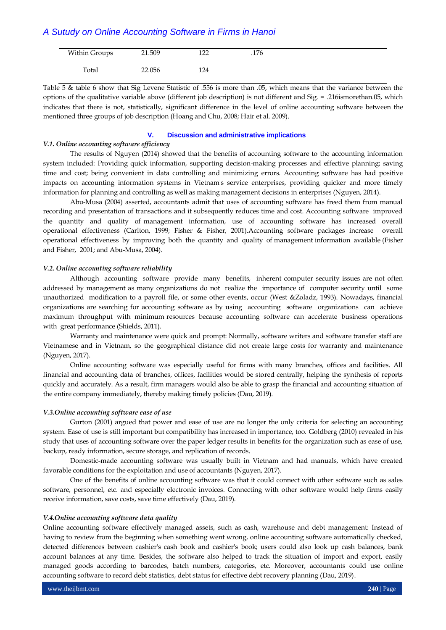| Within Groups | 21.509 | 1 າ າ<br>∸∸∸ | .176 |  |
|---------------|--------|--------------|------|--|
| Total         | 22.056 | 124          |      |  |

Table 5 & table 6 show that Sig Levene Statistic of .556 is more than .05, which means that the variance between the options of the qualitative variable above (different job description) is not different and Sig. = .216ismorethan.05, which indicates that there is not, statistically, significant difference in the level of online accounting software between the mentioned three groups of job description (Hoang and Chu, 2008; Hair et al. 2009).

#### **V. Discussion and administrative implications**

#### *V.1. Online accounting software efficiency*

The results of Nguyen (2014) showed that the benefits of accounting software to the accounting information system included: Providing quick information, supporting decision-making processes and effective planning; saving time and cost; being convenient in data controlling and minimizing errors. Accounting software has had positive impacts on accounting information systems in Vietnam's service enterprises, providing quicker and more timely information for planning and controlling as well as making management decisions in enterprises (Nguyen, 2014).

Abu-Musa (2004) asserted, accountants admit that uses of accounting software has freed them from manual recording and presentation of transactions and it subsequently reduces time and cost. Accounting software improved the quantity and quality of management information, use of accounting software has increased overall operational effectiveness (Carlton, 1999; Fisher & Fisher, 2001).Accounting software packages increase overall operational effectiveness by improving both the quantity and quality of management information available (Fisher and Fisher, 2001; and Abu-Musa, 2004).

#### *V.2. Online accounting software reliability*

Although accounting software provide many benefits, inherent computer security issues are not often addressed by management as many organizations do not realize the importance of computer security until some unauthorized modification to a payroll file, or some other events, occur (West &Zoladz, 1993). Nowadays, financial organizations are searching for accounting software as by using accounting software organizations can achieve maximum throughput with minimum resources because accounting software can accelerate business operations with great performance (Shields, 2011).

Warranty and maintenance were quick and prompt: Normally, software writers and software transfer staff are Vietnamese and in Vietnam, so the geographical distance did not create large costs for warranty and maintenance (Nguyen, 2017).

Online accounting software was especially useful for firms with many branches, offices and facilities. All financial and accounting data of branches, offices, facilities would be stored centrally, helping the synthesis of reports quickly and accurately. As a result, firm managers would also be able to grasp the financial and accounting situation of the entire company immediately, thereby making timely policies (Dau, 2019).

#### *V.3.Online accounting software ease of use*

Gurton (2001) argued that power and ease of use are no longer the only criteria for selecting an accounting system. Ease of use is still important but compatibility has increased in importance, too. Goldberg (2010) revealed in his study that uses of accounting software over the paper ledger results in benefits for the organization such as ease of use, backup, ready information, secure storage, and replication of records.

Domestic-made accounting software was usually built in Vietnam and had manuals, which have created favorable conditions for the exploitation and use of accountants (Nguyen, 2017).

One of the benefits of online accounting software was that it could connect with other software such as sales software, personnel, etc. and especially electronic invoices. Connecting with other software would help firms easily receive information, save costs, save time effectively (Dau, 2019).

#### *V.4.Online accounting software data quality*

Online accounting software effectively managed assets, such as cash, warehouse and debt management: Instead of having to review from the beginning when something went wrong, online accounting software automatically checked, detected differences between cashier's cash book and cashier's book; users could also look up cash balances, bank account balances at any time. Besides, the software also helped to track the situation of import and export, easily managed goods according to barcodes, batch numbers, categories, etc. Moreover, accountants could use online accounting software to record debt statistics, debt status for effective debt recovery planning (Dau, 2019).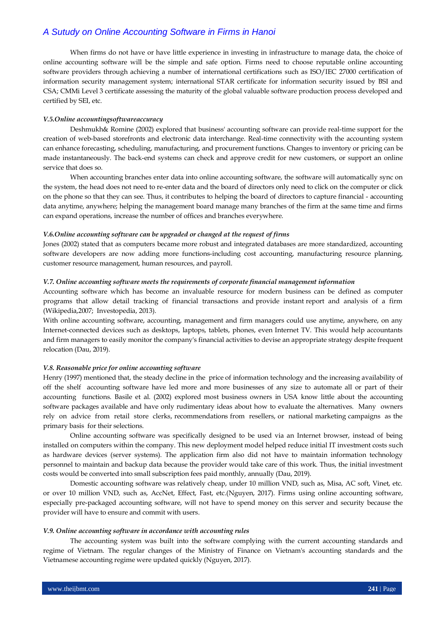When firms do not have or have little experience in investing in infrastructure to manage data, the choice of online accounting software will be the simple and safe option. Firms need to choose reputable online accounting software providers through achieving a number of international certifications such as ISO/IEC 27000 certification of information security management system; international STAR certificate for information security issued by BSI and CSA; CMMi Level 3 certificate assessing the maturity of the global valuable software production process developed and certified by SEI, etc.

#### *V.5.Online accountingsoftwareaccuracy*

Deshmukh& Romine (2002) explored that business' accounting software can provide real-time support for the creation of web-based storefronts and electronic data interchange. Real-time connectivity with the accounting system can enhance forecasting, scheduling, manufacturing, and procurement functions. Changes to inventory or pricing can be made instantaneously. The back-end systems can check and approve credit for new customers, or support an online service that does so.

When accounting branches enter data into online accounting software, the software will automatically sync on the system, the head does not need to re-enter data and the board of directors only need to click on the computer or click on the phone so that they can see. Thus, it contributes to helping the board of directors to capture financial - accounting data anytime, anywhere; helping the management board manage many branches of the firm at the same time and firms can expand operations, increase the number of offices and branches everywhere.

#### *V.6.Online accounting software can be upgraded or changed at the request of firms*

Jones (2002) stated that as computers became more robust and integrated databases are more standardized, accounting software developers are now adding more functions-including cost accounting, manufacturing resource planning, customer resource management, human resources, and payroll.

#### *V.7. Online accounting software meets the requirements of corporate financial management information*

Accounting software which has become an invaluable resource for modern business can be defined as computer programs that allow detail tracking of financial transactions and provide instant report and analysis of a firm (Wikipedia,2007; Investopedia, 2013).

With online accounting software, accounting, management and firm managers could use anytime, anywhere, on any Internet-connected devices such as desktops, laptops, tablets, phones, even Internet TV. This would help accountants and firm managers to easily monitor the company's financial activities to devise an appropriate strategy despite frequent relocation (Dau, 2019).

#### *V.8. Reasonable price for online accounting software*

Henry (1997) mentioned that, the steady decline in the price of information technology and the increasing availability of off the shelf accounting software have led more and more businesses of any size to automate all or part of their accounting functions. Basile et al. (2002) explored most business owners in USA know little about the accounting software packages available and have only rudimentary ideas about how to evaluate the alternatives. Many owners rely on advice from retail store clerks, recommendations from resellers, or national marketing campaigns as the primary basis for their selections.

Online accounting software was specifically designed to be used via an Internet browser, instead of being installed on computers within the company. This new deployment model helped reduce initial IT investment costs such as hardware devices (server systems). The application firm also did not have to maintain information technology personnel to maintain and backup data because the provider would take care of this work. Thus, the initial investment costs would be converted into small subscription fees paid monthly, annually (Dau, 2019).

Domestic accounting software was relatively cheap, under 10 million VND, such as, Misa, AC soft, Vinet, etc. or over 10 million VND, such as, AccNet, Effect, Fast, etc.(Nguyen, 2017). Firms using online accounting software, especially pre-packaged accounting software, will not have to spend money on this server and security because the provider will have to ensure and commit with users.

#### *V.9. Online accounting software in accordance with accounting rules*

The accounting system was built into the software complying with the current accounting standards and regime of Vietnam. The regular changes of the Ministry of Finance on Vietnam's accounting standards and the Vietnamese accounting regime were updated quickly (Nguyen, 2017).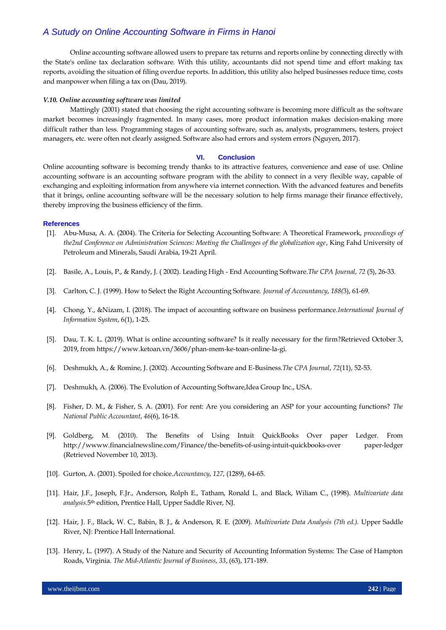Online accounting software allowed users to prepare tax returns and reports online by connecting directly with the State's online tax declaration software. With this utility, accountants did not spend time and effort making tax reports, avoiding the situation of filing overdue reports. In addition, this utility also helped businesses reduce time, costs and manpower when filing a tax on (Dau, 2019).

#### *V.10. Online accounting software was limited*

Mattingly (2001) stated that choosing the right accounting software is becoming more difficult as the software market becomes increasingly fragmented. In many cases, more product information makes decision-making more difficult rather than less. Programming stages of accounting software, such as, analysts, programmers, testers, project managers, etc. were often not clearly assigned. Software also had errors and system errors (Nguyen, 2017).

#### **VI. Conclusion**

Online accounting software is becoming trendy thanks to its attractive features, convenience and ease of use. Online accounting software is an accounting software program with the ability to connect in a very flexible way, capable of exchanging and exploiting information from anywhere via internet connection. With the advanced features and benefits that it brings, online accounting software will be the necessary solution to help firms manage their finance effectively, thereby improving the business efficiency of the firm.

#### **References**

- [1]. Abu-Musa, A. A. (2004). The Criteria for Selecting Accounting Software: A Theoretical Framework, *proceedings of the2nd Conference on Administration Sciences: Meeting the Challenges of the globalization age*, King Fahd University of Petroleum and Minerals, Saudi Arabia, 19-21 April.
- [2]. Basile, A., Louis, P., & Randy, J. ( 2002). Leading High End Accounting Software.*The CPA Journal*, *72* (5), 26-33.
- [3]. Carlton, C. J. (1999). How to Select the Right Accounting Software. *Journal of Accountancy*, *188(*3), 61-69.
- [4]. Chong, Y., &Nizam, I. (2018). The impact of accounting software on business performance.*International Journal of Information System*, 6(1), 1-25.
- [5]. Dau, T. K. L. (2019). What is online accounting software? Is it really necessary for the firm?Retrieved October 3, 2019, from https://www.ketoan.vn/3606/phan-mem-ke-toan-online-la-gi.
- [6]. Deshmukh, A., & Romine, J. (2002). Accounting Software and E-Business.*The CPA Journal*, *72*(11), 52-53.
- [7]. Deshmukh, A. (2006). The Evolution of Accounting Software,Idea Group Inc., USA.
- [8]. Fisher, D. M., & Fisher, S. A. (2001). For rent: Are you considering an ASP for your accounting functions? *The National Public Accountant*, *46*(6), 16-18.
- [9]. Goldberg, M. (2010). The Benefits of Using Intuit QuickBooks Over paper Ledger. From http://wwww.financialnewsline.com/Finance/the-benefits-of-using-intuit-quickbooks-over paper-ledger (Retrieved November 10, 2013).
- [10]. Gurton, A. (2001). Spoiled for choice.*Accountancy*, *127*, (1289), 64-65.
- [11]. Hair, J.F., Joseph, F.Jr., Anderson, Rolph E., Tatham, Ronald L. and Black, Wiliam C., (1998). *Multivariate data analysis.*5th edition, Prentice Hall, Upper Saddle River, NJ.
- [12]. Hair, J. F., Black, W. C., Babin, B. J., & Anderson, R. E. (2009). *Multivariate Data Analysis (7th ed.).* Upper Saddle River, NJ: Prentice Hall International.
- [13]. Henry, L. (1997). A Study of the Nature and Security of Accounting Information Systems: The Case of Hampton Roads, Virginia. *The Mid-Atlantic Journal of Business*, *33*, (63), 171-189.